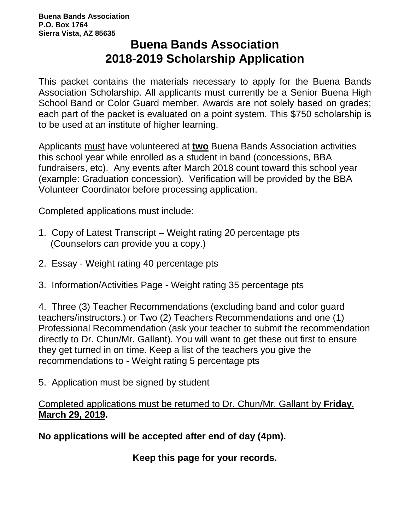### **Buena Bands Association 2018-2019 Scholarship Application**

This packet contains the materials necessary to apply for the Buena Bands Association Scholarship. All applicants must currently be a Senior Buena High School Band or Color Guard member. Awards are not solely based on grades; each part of the packet is evaluated on a point system. This \$750 scholarship is to be used at an institute of higher learning.

Applicants must have volunteered at **two** Buena Bands Association activities this school year while enrolled as a student in band (concessions, BBA fundraisers, etc). Any events after March 2018 count toward this school year (example: Graduation concession). Verification will be provided by the BBA Volunteer Coordinator before processing application.

Completed applications must include:

- 1. Copy of Latest Transcript Weight rating 20 percentage pts (Counselors can provide you a copy.)
- 2. Essay Weight rating 40 percentage pts
- 3. Information/Activities Page Weight rating 35 percentage pts

4. Three (3) Teacher Recommendations (excluding band and color guard teachers/instructors.) or Two (2) Teachers Recommendations and one (1) Professional Recommendation (ask your teacher to submit the recommendation directly to Dr. Chun/Mr. Gallant). You will want to get these out first to ensure they get turned in on time. Keep a list of the teachers you give the recommendations to - Weight rating 5 percentage pts

5. Application must be signed by student

#### Completed applications must be returned to Dr. Chun/Mr. Gallant by **Friday**, **March 29, 2019.**

**No applications will be accepted after end of day (4pm).**

**Keep this page for your records.**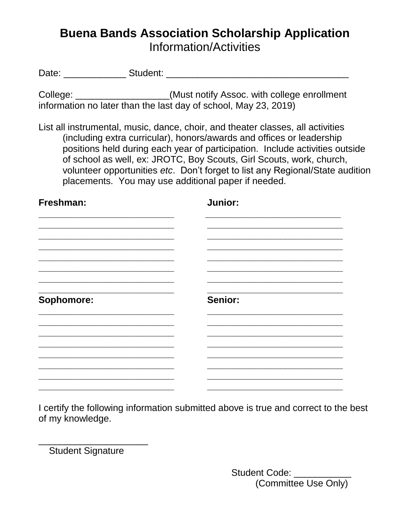# **Buena Bands Association Scholarship Application** Information/Activities

Date: \_\_\_\_\_\_\_\_\_\_\_\_ Student: \_\_\_\_\_\_\_\_\_\_\_\_\_\_\_\_\_\_\_\_\_\_\_\_\_\_\_\_\_\_\_\_\_\_\_

College: \_\_\_\_\_\_\_\_\_\_\_\_\_\_\_\_\_\_\_(Must notify Assoc. with college enrollment information no later than the last day of school, May 23, 2019)

List all instrumental, music, dance, choir, and theater classes, all activities (including extra curricular), honors/awards and offices or leadership positions held during each year of participation. Include activities outside of school as well, ex: JROTC, Boy Scouts, Girl Scouts, work, church, volunteer opportunities *etc*. Don't forget to list any Regional/State audition placements. You may use additional paper if needed.

**Freshman: Junior:**

| Sophomore: | Senior: |
|------------|---------|
|            |         |
|            |         |

I certify the following information submitted above is true and correct to the best of my knowledge.

Student Signature

\_\_\_\_\_\_\_\_\_\_\_\_\_\_\_\_\_\_\_\_\_

Student Code: \_\_\_\_\_\_\_\_\_ (Committee Use Only)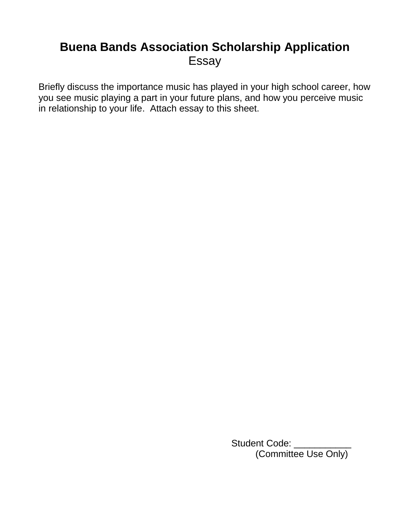### **Buena Bands Association Scholarship Application** Essay

Briefly discuss the importance music has played in your high school career, how you see music playing a part in your future plans, and how you perceive music in relationship to your life. Attach essay to this sheet.

> Student Code: \_\_\_\_\_\_ (Committee Use Only)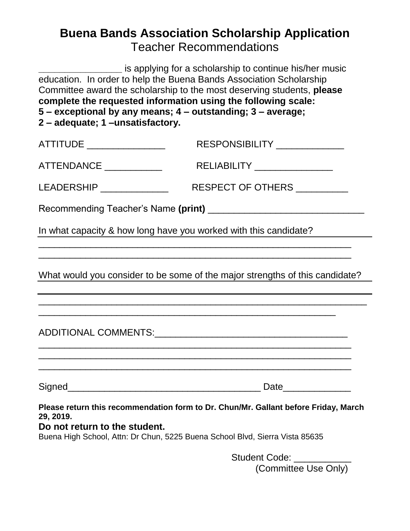# **Buena Bands Association Scholarship Application** Teacher Recommendations

**\_\_\_\_\_\_\_\_\_\_\_\_\_\_\_\_** is applying for a scholarship to continue his/her music education. In order to help the Buena Bands Association Scholarship Committee award the scholarship to the most deserving students, **please complete the requested information using the following scale: 5 – exceptional by any means; 4 – outstanding; 3 – average; 2 – adequate; 1 –unsatisfactory.**

| ATTITUDE ________________                                                                                                                                                                                         | RESPONSIBILITY _____________                                                                                           |  |  |  |
|-------------------------------------------------------------------------------------------------------------------------------------------------------------------------------------------------------------------|------------------------------------------------------------------------------------------------------------------------|--|--|--|
| ATTENDANCE ____________                                                                                                                                                                                           | RELIABILITY ________________                                                                                           |  |  |  |
| LEADERSHIP _____________                                                                                                                                                                                          | RESPECT OF OTHERS _________                                                                                            |  |  |  |
|                                                                                                                                                                                                                   |                                                                                                                        |  |  |  |
| In what capacity & how long have you worked with this candidate?                                                                                                                                                  |                                                                                                                        |  |  |  |
|                                                                                                                                                                                                                   | <u> 1989 - Johann John Stoff, deutscher Stoffen und der Stoffen und der Stoffen und der Stoffen und der Stoffen un</u> |  |  |  |
| What would you consider to be some of the major strengths of this candidate?                                                                                                                                      |                                                                                                                        |  |  |  |
|                                                                                                                                                                                                                   |                                                                                                                        |  |  |  |
| <u> 1980 - Johann John Harry Harry Harry Harry Harry Harry Harry Harry Harry Harry Harry Harry Harry Harry Harry H</u>                                                                                            | <u> 1989 - Johann Harry Barn, mars and deutscher Stadt and deutscher Stadt and deutscher Stadt and deutscher Stadt</u> |  |  |  |
|                                                                                                                                                                                                                   |                                                                                                                        |  |  |  |
| Please return this recommendation form to Dr. Chun/Mr. Gallant before Friday, March<br>29, 2019.<br>Do not return to the student.<br>Buena High School, Attn: Dr Chun, 5225 Buena School Blvd, Sierra Vista 85635 |                                                                                                                        |  |  |  |

Student Code: (Committee Use Only)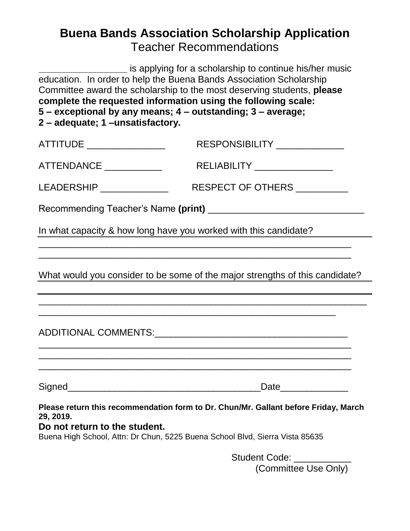# **Buena Bands Association Scholarship Application** Teacher Recommendations

| education. In order to help the Buena Bands Association Scholarship<br>complete the requested information using the following scale:<br>5 - exceptional by any means; 4 - outstanding; 3 - average;<br>2 - adequate; 1 -unsatisfactory. | is applying for a scholarship to continue his/her music<br>Committee award the scholarship to the most deserving students, please |  |  |
|-----------------------------------------------------------------------------------------------------------------------------------------------------------------------------------------------------------------------------------------|-----------------------------------------------------------------------------------------------------------------------------------|--|--|
| ATTITUDE _________________                                                                                                                                                                                                              | RESPONSIBILITY ______________                                                                                                     |  |  |
| ATTENDANCE ____________                                                                                                                                                                                                                 | RELIABILITY _______________                                                                                                       |  |  |
| LEADERSHIP ______________                                                                                                                                                                                                               | RESPECT OF OTHERS _________                                                                                                       |  |  |
|                                                                                                                                                                                                                                         |                                                                                                                                   |  |  |
| In what capacity & how long have you worked with this candidate?                                                                                                                                                                        |                                                                                                                                   |  |  |
|                                                                                                                                                                                                                                         | What would you consider to be some of the major strengths of this candidate?                                                      |  |  |
|                                                                                                                                                                                                                                         |                                                                                                                                   |  |  |
|                                                                                                                                                                                                                                         |                                                                                                                                   |  |  |
| Please return this recommendation form to Dr. Chun/Mr. Gallant before Friday, March<br>29, 2019.<br>Do not return to the student.<br>Buena High School, Attn: Dr Chun, 5225 Buena School Blvd, Sierra Vista 85635                       |                                                                                                                                   |  |  |

Student Code: \_\_\_\_\_\_\_\_\_\_\_ (Committee Use Only)